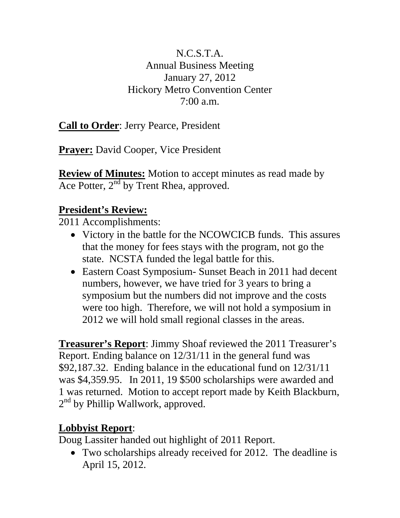## N.C.S.T.A. Annual Business Meeting January 27, 2012 Hickory Metro Convention Center  $7:00 a.m.$

**Call to Order**: Jerry Pearce, President

**Prayer:** David Cooper, Vice President

**Review of Minutes:** Motion to accept minutes as read made by Ace Potter,  $2<sup>nd</sup>$  by Trent Rhea, approved.

## **President's Review:**

2011 Accomplishments:

- Victory in the battle for the NCOWCICB funds. This assures that the money for fees stays with the program, not go the state. NCSTA funded the legal battle for this.
- Eastern Coast Symposium- Sunset Beach in 2011 had decent numbers, however, we have tried for 3 years to bring a symposium but the numbers did not improve and the costs were too high. Therefore, we will not hold a symposium in 2012 we will hold small regional classes in the areas.

**Treasurer's Report**: Jimmy Shoaf reviewed the 2011 Treasurer's Report. Ending balance on 12/31/11 in the general fund was \$92,187.32. Ending balance in the educational fund on 12/31/11 was \$4,359.95. In 2011, 19 \$500 scholarships were awarded and 1 was returned. Motion to accept report made by Keith Blackburn,  $2<sup>nd</sup>$  by Phillip Wallwork, approved.

## **Lobbyist Report**:

Doug Lassiter handed out highlight of 2011 Report.

 Two scholarships already received for 2012. The deadline is April 15, 2012.